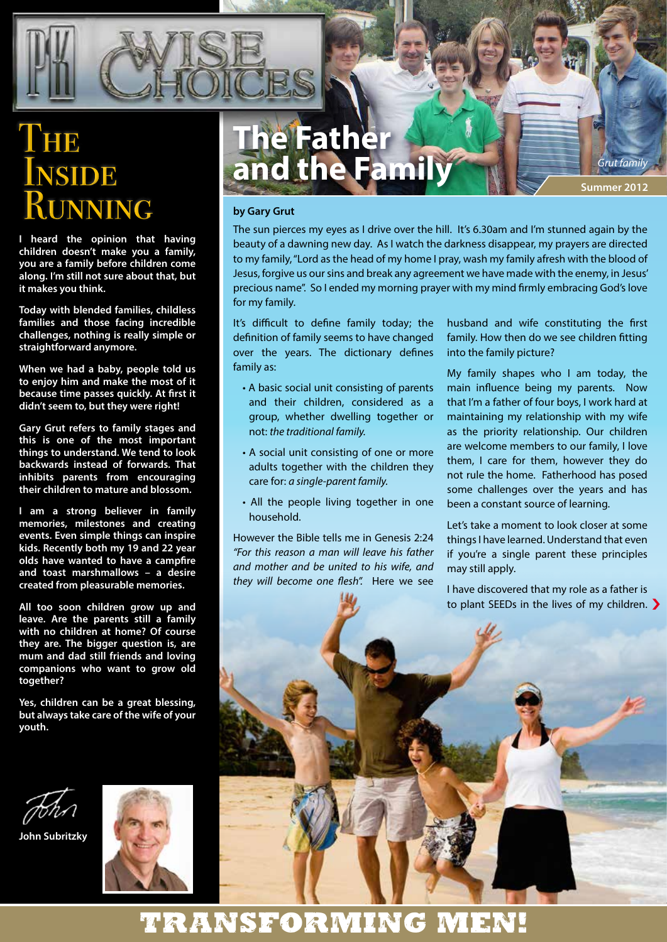# **THE NSIDE** RUNNING

**I heard the opinion that having children doesn't make you a family, you are a family before children come along. I'm still not sure about that, but it makes you think.**

**Today with blended families, childless families and those facing incredible challenges, nothing is really simple or straightforward anymore.**

**When we had a baby, people told us to enjoy him and make the most of it because time passes quickly. At first it didn't seem to, but they were right!**

**Gary Grut refers to family stages and this is one of the most important things to understand. We tend to look backwards instead of forwards. That inhibits parents from encouraging their children to mature and blossom.**

**I am a strong believer in family memories, milestones and creating events. Even simple things can inspire kids. Recently both my 19 and 22 year olds have wanted to have a campfire and toast marshmallows – a desire created from pleasurable memories.**

**All too soon children grow up and leave. Are the parents still a family with no children at home? Of course they are. The bigger question is, are mum and dad still friends and loving companions who want to grow old together?**

**Yes, children can be a great blessing, but always take care of the wife of your youth.**



**John Subritzky**



# **The Father and the Family**

**Summer 2012** *Grut family*

#### **by Gary Grut**

The sun pierces my eyes as I drive over the hill. It's 6.30am and I'm stunned again by the beauty of a dawning new day. As I watch the darkness disappear, my prayers are directed to my family, "Lord as the head of my home I pray, wash my family afresh with the blood of Jesus, forgive us our sins and break any agreement we have made with the enemy, in Jesus' precious name". So I ended my morning prayer with my mind firmly embracing God's love for my family.

It's difficult to define family today; the definition of family seems to have changed over the years. The dictionary defines family as:

- A basic social unit consisting of parents and their children, considered as a group, whether dwelling together or not: *the traditional family.*
- A social unit consisting of one or more adults together with the children they care for: *a single-parent family.*
- All the people living together in one household.

However the Bible tells me in Genesis 2:24 *"For this reason a man will leave his father and mother and be united to his wife, and they will become one flesh".* Here we see husband and wife constituting the first family. How then do we see children fitting into the family picture?

My family shapes who I am today, the main influence being my parents. Now that I'm a father of four boys, I work hard at maintaining my relationship with my wife as the priority relationship. Our children are welcome members to our family, I love them, I care for them, however they do not rule the home. Fatherhood has posed some challenges over the years and has been a constant source of learning.

Let's take a moment to look closer at some things I have learned. Understand that even if you're a single parent these principles may still apply.

I have discovered that my role as a father is to plant SEEDs in the lives of my children. �

�